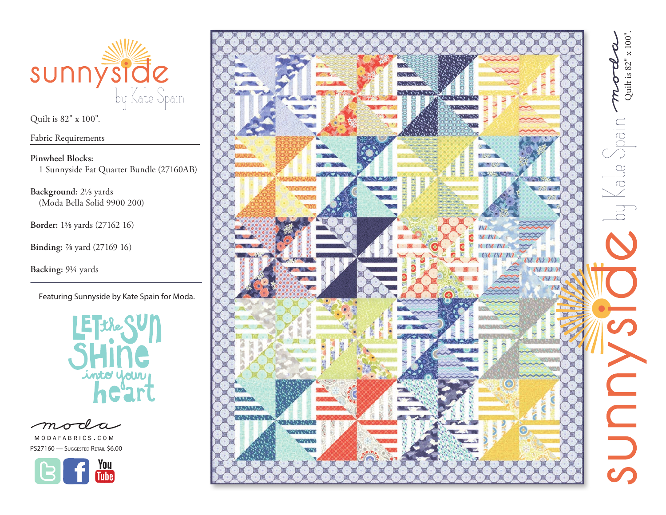

Fabric Requirements

**Pinwheel Blocks:** 1 Sunnyside Fat Quarter Bundle (27160AB)

**Background:** 21/3 yards(Moda Bella Solid 9900 200)

**Border:** 15/8 yards (27162 16)

**Binding:** 7/8 yard (27169 16)

**Backing:** 91/4 yards

Featuring Sunnyside by Kate Spain for Moda.



MODAFABRICS.COM

PS27160 - Suggested Retail \$6.00



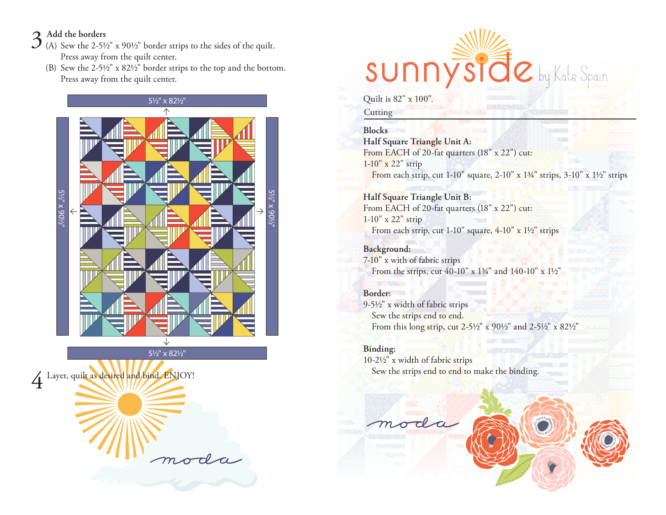- 3 **Add the borders** (A) Sew the 2-5½" x 90½" border strips to the sides of the quilt. Press away from the quilt center.
	- (B) Sew the 2-5½" x 82½" border strips to the top and the bottom. Press away from the quilt center.



51/2" x 821/2"

4 Layer, quilt as desired and bind. ENJOY! moda



Quilt is 82" x 100".

**Cutting** 

## **Blocks**

**Half Square Triangle Unit A:**  From EACH of 20-fat quarters (18" x 22") cut: 1-10" x 22" strip From each strip, cut 1-10" square,  $2-10$ " x  $1\frac{3}{4}$ " strips,  $3-10$ " x  $1\frac{1}{2}$ " strips

## **Half Square Triangle Unit B:**

From EACH of 20-fat quarters (18" x 22") cut: 1-10" x 22" strip From each strip, cut  $1-10$ " square,  $4-10$ " x  $1\frac{1}{2}$ " strips

**Background:** 7-10" x with of fabric strips From the strips, cut 40-10" x 13/4" and 140-10" x 11/2"

# **Border:**

9-51/2" x width of fabric strips Sew the strips end to end. From this long strip, cut 2-51/2" x 901/2" and 2-51/2" x 821/2"

## **Binding:**

10-21/2" x width of fabric strips Sew the strips end to end to make the binding.

moda